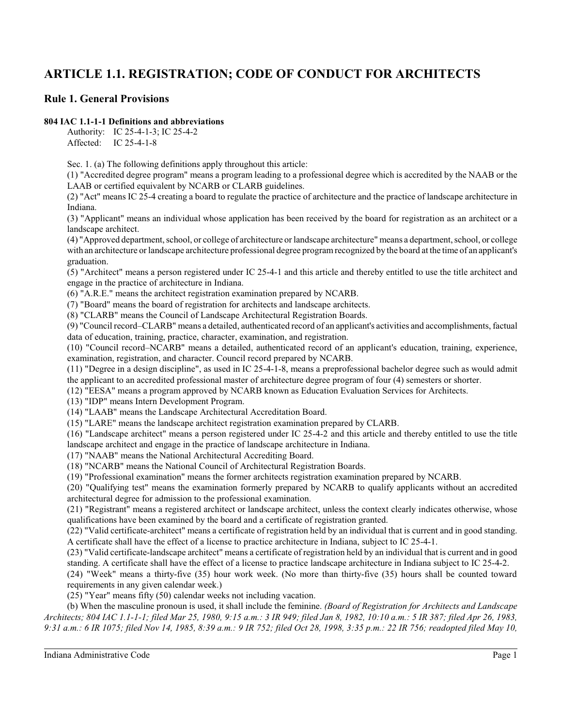# **ARTICLE 1.1. REGISTRATION; CODE OF CONDUCT FOR ARCHITECTS**

## **Rule 1. General Provisions**

### **804 IAC 1.1-1-1 Definitions and abbreviations**

Authority: IC 25-4-1-3; IC 25-4-2 Affected: IC 25-4-1-8

Sec. 1. (a) The following definitions apply throughout this article:

(1) "Accredited degree program" means a program leading to a professional degree which is accredited by the NAAB or the LAAB or certified equivalent by NCARB or CLARB guidelines.

(2) "Act" means IC 25-4 creating a board to regulate the practice of architecture and the practice of landscape architecture in Indiana.

(3) "Applicant" means an individual whose application has been received by the board for registration as an architect or a landscape architect.

(4) "Approved department, school, or college of architecture or landscape architecture" means a department, school, or college with an architecture or landscape architecture professional degree programrecognized by the board at the time of an applicant's graduation.

(5) "Architect" means a person registered under IC 25-4-1 and this article and thereby entitled to use the title architect and engage in the practice of architecture in Indiana.

(6) "A.R.E." means the architect registration examination prepared by NCARB.

(7) "Board" means the board of registration for architects and landscape architects.

(8) "CLARB" means the Council of Landscape Architectural Registration Boards.

(9) "Council record–CLARB" means a detailed, authenticated record of an applicant's activities and accomplishments, factual data of education, training, practice, character, examination, and registration.

(10) "Council record–NCARB" means a detailed, authenticated record of an applicant's education, training, experience, examination, registration, and character. Council record prepared by NCARB.

(11) "Degree in a design discipline", as used in IC 25-4-1-8, means a preprofessional bachelor degree such as would admit the applicant to an accredited professional master of architecture degree program of four (4) semesters or shorter.

(12) "EESA" means a program approved by NCARB known as Education Evaluation Services for Architects.

(13) "IDP" means Intern Development Program.

(14) "LAAB" means the Landscape Architectural Accreditation Board.

(15) "LARE" means the landscape architect registration examination prepared by CLARB.

(16) "Landscape architect" means a person registered under IC 25-4-2 and this article and thereby entitled to use the title landscape architect and engage in the practice of landscape architecture in Indiana.

(17) "NAAB" means the National Architectural Accrediting Board.

(18) "NCARB" means the National Council of Architectural Registration Boards.

(19) "Professional examination" means the former architects registration examination prepared by NCARB.

(20) "Qualifying test" means the examination formerly prepared by NCARB to qualify applicants without an accredited architectural degree for admission to the professional examination.

(21) "Registrant" means a registered architect or landscape architect, unless the context clearly indicates otherwise, whose qualifications have been examined by the board and a certificate of registration granted.

(22) "Valid certificate-architect" means a certificate of registration held by an individual that is current and in good standing. A certificate shall have the effect of a license to practice architecture in Indiana, subject to IC 25-4-1.

(23) "Valid certificate-landscape architect" means a certificate of registration held by an individual that is current and in good standing. A certificate shall have the effect of a license to practice landscape architecture in Indiana subject to IC 25-4-2.

(24) "Week" means a thirty-five (35) hour work week. (No more than thirty-five (35) hours shall be counted toward requirements in any given calendar week.)

(25) "Year" means fifty (50) calendar weeks not including vacation.

(b) When the masculine pronoun is used, it shall include the feminine. *(Board of Registration for Architects and Landscape Architects; 804 IAC 1.1-1-1; filed Mar 25, 1980, 9:15 a.m.: 3 IR 949; filed Jan 8, 1982, 10:10 a.m.: 5 IR 387; filed Apr 26, 1983, 9:31 a.m.: 6 IR 1075; filed Nov 14, 1985, 8:39 a.m.: 9 IR 752; filed Oct 28, 1998, 3:35 p.m.: 22 IR 756; readopted filed May 10,*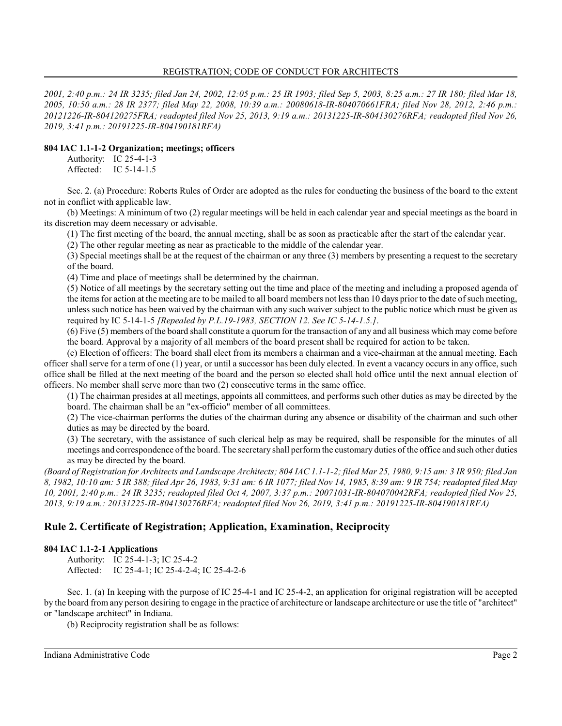*2001, 2:40 p.m.: 24 IR 3235; filed Jan 24, 2002, 12:05 p.m.: 25 IR 1903; filed Sep 5, 2003, 8:25 a.m.: 27 IR 180; filed Mar 18, 2005, 10:50 a.m.: 28 IR 2377; filed May 22, 2008, 10:39 a.m.: 20080618-IR-804070661FRA; filed Nov 28, 2012, 2:46 p.m.: 20121226-IR-804120275FRA; readopted filed Nov 25, 2013, 9:19 a.m.: 20131225-IR-804130276RFA; readopted filed Nov 26, 2019, 3:41 p.m.: 20191225-IR-804190181RFA)*

## **804 IAC 1.1-1-2 Organization; meetings; officers**

Authority: IC 25-4-1-3 Affected: IC 5-14-1.5

Sec. 2. (a) Procedure: Roberts Rules of Order are adopted as the rules for conducting the business of the board to the extent not in conflict with applicable law.

(b) Meetings: A minimum of two (2) regular meetings will be held in each calendar year and special meetings as the board in its discretion may deem necessary or advisable.

(1) The first meeting of the board, the annual meeting, shall be as soon as practicable after the start of the calendar year.

(2) The other regular meeting as near as practicable to the middle of the calendar year.

(3) Special meetings shall be at the request of the chairman or any three (3) members by presenting a request to the secretary of the board.

(4) Time and place of meetings shall be determined by the chairman.

(5) Notice of all meetings by the secretary setting out the time and place of the meeting and including a proposed agenda of the items for action at the meeting are to be mailed to all board members not less than 10 days prior to the date of such meeting, unless such notice has been waived by the chairman with any such waiver subject to the public notice which must be given as required by IC 5-14-1-5 *[Repealed by P.L.19-1983, SECTION 12. See IC 5-14-1.5.]*.

(6) Five (5) members of the board shall constitute a quorum for the transaction of any and all business which may come before the board. Approval by a majority of all members of the board present shall be required for action to be taken.

(c) Election of officers: The board shall elect from its members a chairman and a vice-chairman at the annual meeting. Each officer shall serve for a term of one (1) year, or until a successor has been duly elected. In event a vacancy occurs in any office, such office shall be filled at the next meeting of the board and the person so elected shall hold office until the next annual election of officers. No member shall serve more than two (2) consecutive terms in the same office.

(1) The chairman presides at all meetings, appoints all committees, and performs such other duties as may be directed by the board. The chairman shall be an "ex-officio" member of all committees.

(2) The vice-chairman performs the duties of the chairman during any absence or disability of the chairman and such other duties as may be directed by the board.

(3) The secretary, with the assistance of such clerical help as may be required, shall be responsible for the minutes of all meetings and correspondence of the board. The secretary shall perform the customary duties of the office and such other duties as may be directed by the board.

*(Board of Registration for Architects and Landscape Architects; 804 IAC 1.1-1-2; filed Mar 25, 1980, 9:15 am: 3 IR 950; filed Jan 8, 1982, 10:10 am: 5 IR 388; filed Apr 26, 1983, 9:31 am: 6 IR 1077; filed Nov 14, 1985, 8:39 am: 9 IR 754; readopted filed May 10, 2001, 2:40 p.m.: 24 IR 3235; readopted filed Oct 4, 2007, 3:37 p.m.: 20071031-IR-804070042RFA; readopted filed Nov 25, 2013, 9:19 a.m.: 20131225-IR-804130276RFA; readopted filed Nov 26, 2019, 3:41 p.m.: 20191225-IR-804190181RFA)*

## **Rule 2. Certificate of Registration; Application, Examination, Reciprocity**

### **804 IAC 1.1-2-1 Applications**

Authority: IC 25-4-1-3; IC 25-4-2 Affected: IC 25-4-1; IC 25-4-2-4; IC 25-4-2-6

Sec. 1. (a) In keeping with the purpose of IC 25-4-1 and IC 25-4-2, an application for original registration will be accepted by the board from any person desiring to engage in the practice of architecture or landscape architecture or use the title of "architect" or "landscape architect" in Indiana.

(b) Reciprocity registration shall be as follows: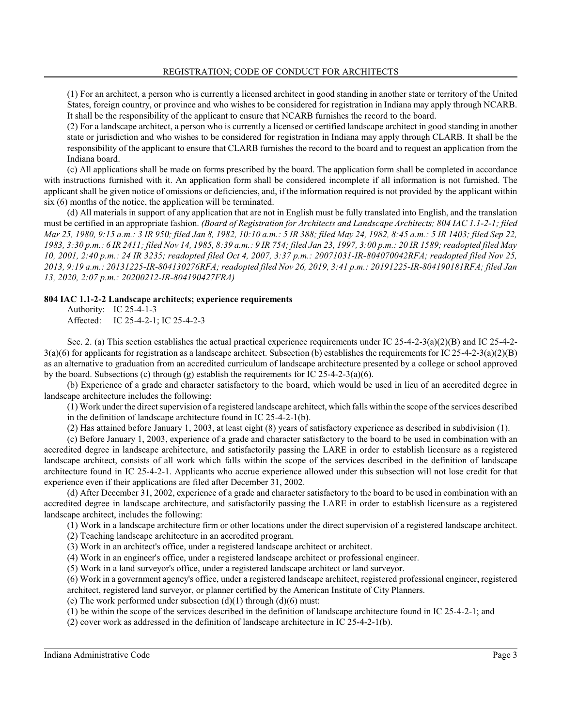(1) For an architect, a person who is currently a licensed architect in good standing in another state or territory of the United States, foreign country, or province and who wishes to be considered for registration in Indiana may apply through NCARB. It shall be the responsibility of the applicant to ensure that NCARB furnishes the record to the board.

(2) For a landscape architect, a person who is currently a licensed or certified landscape architect in good standing in another state or jurisdiction and who wishes to be considered for registration in Indiana may apply through CLARB. It shall be the responsibility of the applicant to ensure that CLARB furnishes the record to the board and to request an application from the Indiana board.

(c) All applications shall be made on forms prescribed by the board. The application form shall be completed in accordance with instructions furnished with it. An application form shall be considered incomplete if all information is not furnished. The applicant shall be given notice of omissions or deficiencies, and, if the information required is not provided by the applicant within six (6) months of the notice, the application will be terminated.

(d) All materials in support of any application that are not in English must be fully translated into English, and the translation must be certified in an appropriate fashion. *(Board of Registration for Architects and Landscape Architects; 804 IAC 1.1-2-1; filed Mar 25, 1980, 9:15 a.m.: 3 IR 950; filed Jan 8, 1982, 10:10 a.m.: 5 IR 388; filed May 24, 1982, 8:45 a.m.: 5 IR 1403; filed Sep 22, 1983, 3:30 p.m.: 6 IR 2411; filed Nov 14, 1985, 8:39 a.m.: 9 IR 754; filed Jan 23, 1997, 3:00 p.m.: 20 IR 1589; readopted filed May 10, 2001, 2:40 p.m.: 24 IR 3235; readopted filed Oct 4, 2007, 3:37 p.m.: 20071031-IR-804070042RFA; readopted filed Nov 25, 2013, 9:19 a.m.: 20131225-IR-804130276RFA; readopted filed Nov 26, 2019, 3:41 p.m.: 20191225-IR-804190181RFA; filed Jan 13, 2020, 2:07 p.m.: 20200212-IR-804190427FRA)*

#### **804 IAC 1.1-2-2 Landscape architects; experience requirements**

Authority: IC 25-4-1-3 Affected: IC 25-4-2-1; IC 25-4-2-3

Sec. 2. (a) This section establishes the actual practical experience requirements under IC 25-4-2-3(a)(2)(B) and IC 25-4-2-  $3(a)(6)$  for applicants for registration as a landscape architect. Subsection (b) establishes the requirements for IC 25-4-2-3(a)(2)(B) as an alternative to graduation from an accredited curriculum of landscape architecture presented by a college or school approved by the board. Subsections (c) through (g) establish the requirements for IC  $25-4-2-3(a)(6)$ .

(b) Experience of a grade and character satisfactory to the board, which would be used in lieu of an accredited degree in landscape architecture includes the following:

(1) Work under the direct supervision of a registered landscape architect, which falls within the scope of the services described in the definition of landscape architecture found in IC 25-4-2-1(b).

(2) Has attained before January 1, 2003, at least eight (8) years of satisfactory experience as described in subdivision (1).

(c) Before January 1, 2003, experience of a grade and character satisfactory to the board to be used in combination with an accredited degree in landscape architecture, and satisfactorily passing the LARE in order to establish licensure as a registered landscape architect, consists of all work which falls within the scope of the services described in the definition of landscape architecture found in IC 25-4-2-1. Applicants who accrue experience allowed under this subsection will not lose credit for that experience even if their applications are filed after December 31, 2002.

(d) After December 31, 2002, experience of a grade and character satisfactory to the board to be used in combination with an accredited degree in landscape architecture, and satisfactorily passing the LARE in order to establish licensure as a registered landscape architect, includes the following:

(1) Work in a landscape architecture firm or other locations under the direct supervision of a registered landscape architect.

(2) Teaching landscape architecture in an accredited program.

(3) Work in an architect's office, under a registered landscape architect or architect.

(4) Work in an engineer's office, under a registered landscape architect or professional engineer.

(5) Work in a land surveyor's office, under a registered landscape architect or land surveyor.

(6) Work in a government agency's office, under a registered landscape architect, registered professional engineer, registered

architect, registered land surveyor, or planner certified by the American Institute of City Planners.

(e) The work performed under subsection  $(d)(1)$  through  $(d)(6)$  must:

(1) be within the scope of the services described in the definition of landscape architecture found in IC 25-4-2-1; and

(2) cover work as addressed in the definition of landscape architecture in IC 25-4-2-1(b).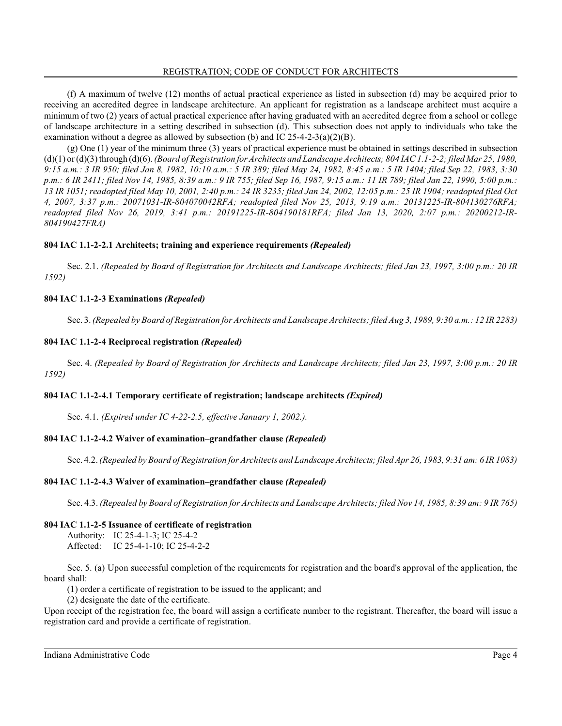(f) A maximum of twelve (12) months of actual practical experience as listed in subsection (d) may be acquired prior to receiving an accredited degree in landscape architecture. An applicant for registration as a landscape architect must acquire a minimum of two (2) years of actual practical experience after having graduated with an accredited degree from a school or college of landscape architecture in a setting described in subsection (d). This subsection does not apply to individuals who take the examination without a degree as allowed by subsection (b) and IC  $25-4-2-3(a)(2)(B)$ .

(g) One (1) year of the minimum three (3) years of practical experience must be obtained in settings described in subsection (d)(1) or(d)(3) through (d)(6). *(Board of Registration for Architects and Landscape Architects; 804 IAC 1.1-2-2; filed Mar 25, 1980, 9:15 a.m.: 3 IR 950; filed Jan 8, 1982, 10:10 a.m.: 5 IR 389; filed May 24, 1982, 8:45 a.m.: 5 IR 1404; filed Sep 22, 1983, 3:30 p.m.: 6 IR 2411; filed Nov 14, 1985, 8:39 a.m.: 9 IR 755; filed Sep 16, 1987, 9:15 a.m.: 11 IR 789; filed Jan 22, 1990, 5:00 p.m.: 13 IR 1051; readopted filed May 10, 2001, 2:40 p.m.: 24 IR 3235; filed Jan 24, 2002, 12:05 p.m.: 25 IR 1904; readopted filed Oct 4, 2007, 3:37 p.m.: 20071031-IR-804070042RFA; readopted filed Nov 25, 2013, 9:19 a.m.: 20131225-IR-804130276RFA; readopted filed Nov 26, 2019, 3:41 p.m.: 20191225-IR-804190181RFA; filed Jan 13, 2020, 2:07 p.m.: 20200212-IR-804190427FRA)*

## **804 IAC 1.1-2-2.1 Architects; training and experience requirements** *(Repealed)*

Sec. 2.1. *(Repealed by Board of Registration for Architects and Landscape Architects; filed Jan 23, 1997, 3:00 p.m.: 20 IR 1592)*

## **804 IAC 1.1-2-3 Examinations** *(Repealed)*

Sec. 3. *(Repealed by Board of Registration for Architects and Landscape Architects; filed Aug 3, 1989, 9:30 a.m.: 12 IR 2283)*

## **804 IAC 1.1-2-4 Reciprocal registration** *(Repealed)*

Sec. 4. *(Repealed by Board of Registration for Architects and Landscape Architects; filed Jan 23, 1997, 3:00 p.m.: 20 IR 1592)*

### **804 IAC 1.1-2-4.1 Temporary certificate of registration; landscape architects** *(Expired)*

Sec. 4.1. *(Expired under IC 4-22-2.5, effective January 1, 2002.).*

### **804 IAC 1.1-2-4.2 Waiver of examination–grandfather clause** *(Repealed)*

Sec. 4.2. *(Repealed by Board of Registration for Architects and Landscape Architects; filed Apr 26, 1983, 9:31 am: 6 IR 1083)*

### **804 IAC 1.1-2-4.3 Waiver of examination–grandfather clause** *(Repealed)*

Sec. 4.3. *(Repealed by Board of Registration for Architects and Landscape Architects; filed Nov 14, 1985, 8:39 am: 9 IR 765)*

### **804 IAC 1.1-2-5 Issuance of certificate of registration**

Authority: IC 25-4-1-3; IC 25-4-2 Affected: IC 25-4-1-10; IC 25-4-2-2

Sec. 5. (a) Upon successful completion of the requirements for registration and the board's approval of the application, the board shall:

(1) order a certificate of registration to be issued to the applicant; and

(2) designate the date of the certificate.

Upon receipt of the registration fee, the board will assign a certificate number to the registrant. Thereafter, the board will issue a registration card and provide a certificate of registration.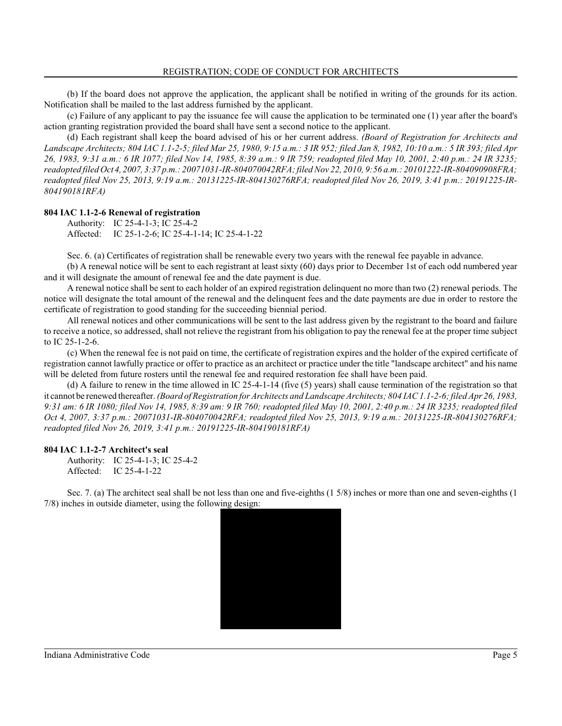(b) If the board does not approve the application, the applicant shall be notified in writing of the grounds for its action. Notification shall be mailed to the last address furnished by the applicant.

(c) Failure of any applicant to pay the issuance fee will cause the application to be terminated one (1) year after the board's action granting registration provided the board shall have sent a second notice to the applicant.

(d) Each registrant shall keep the board advised of his or her current address. *(Board of Registration for Architects and Landscape Architects; 804 IAC 1.1-2-5; filed Mar 25, 1980, 9:15 a.m.: 3 IR 952; filed Jan 8, 1982, 10:10 a.m.: 5 IR 393; filed Apr 26, 1983, 9:31 a.m.: 6 IR 1077; filed Nov 14, 1985, 8:39 a.m.: 9 IR 759; readopted filed May 10, 2001, 2:40 p.m.: 24 IR 3235; readopted filed Oct4,2007, 3:37 p.m.: 20071031-IR-804070042RFA; filed Nov 22, 2010, 9:56 a.m.: 20101222-IR-804090908FRA; readopted filed Nov 25, 2013, 9:19 a.m.: 20131225-IR-804130276RFA; readopted filed Nov 26, 2019, 3:41 p.m.: 20191225-IR-804190181RFA)*

#### **804 IAC 1.1-2-6 Renewal of registration**

Authority: IC 25-4-1-3; IC 25-4-2 Affected: IC 25-1-2-6; IC 25-4-1-14; IC 25-4-1-22

Sec. 6. (a) Certificates of registration shall be renewable every two years with the renewal fee payable in advance.

(b) A renewal notice will be sent to each registrant at least sixty (60) days prior to December 1st of each odd numbered year and it will designate the amount of renewal fee and the date payment is due.

A renewal notice shall be sent to each holder of an expired registration delinquent no more than two (2) renewal periods. The notice will designate the total amount of the renewal and the delinquent fees and the date payments are due in order to restore the certificate of registration to good standing for the succeeding biennial period.

All renewal notices and other communications will be sent to the last address given by the registrant to the board and failure to receive a notice, so addressed, shall not relieve the registrant from his obligation to pay the renewal fee at the proper time subject to IC 25-1-2-6.

(c) When the renewal fee is not paid on time, the certificate of registration expires and the holder of the expired certificate of registration cannot lawfully practice or offer to practice as an architect or practice under the title "landscape architect" and his name will be deleted from future rosters until the renewal fee and required restoration fee shall have been paid.

(d) A failure to renew in the time allowed in IC 25-4-1-14 (five (5) years) shall cause termination of the registration so that it cannot be renewed thereafter. *(Board of Registration for Architects and Landscape Architects; 804 IAC 1.1-2-6; filed Apr 26, 1983, 9:31 am: 6 IR 1080; filed Nov 14, 1985, 8:39 am: 9 IR 760; readopted filed May 10, 2001, 2:40 p.m.: 24 IR 3235; readopted filed Oct 4, 2007, 3:37 p.m.: 20071031-IR-804070042RFA; readopted filed Nov 25, 2013, 9:19 a.m.: 20131225-IR-804130276RFA; readopted filed Nov 26, 2019, 3:41 p.m.: 20191225-IR-804190181RFA)*

#### **804 IAC 1.1-2-7 Architect's seal**

Authority: IC 25-4-1-3; IC 25-4-2 Affected: IC 25-4-1-22

Sec. 7. (a) The architect seal shall be not less than one and five-eighths (1 5/8) inches or more than one and seven-eighths (1 7/8) inches in outside diameter, using the following design:

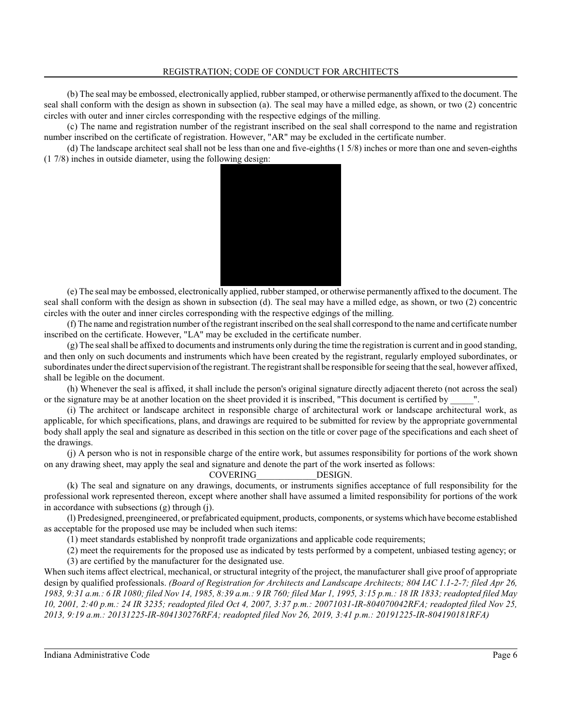(b) The seal may be embossed, electronically applied, rubber stamped, or otherwise permanently affixed to the document. The seal shall conform with the design as shown in subsection (a). The seal may have a milled edge, as shown, or two (2) concentric circles with outer and inner circles corresponding with the respective edgings of the milling.

(c) The name and registration number of the registrant inscribed on the seal shall correspond to the name and registration number inscribed on the certificate of registration. However, "AR" may be excluded in the certificate number.

(d) The landscape architect seal shall not be less than one and five-eighths (1 5/8) inches or more than one and seven-eighths (1 7/8) inches in outside diameter, using the following design:



(e) The seal may be embossed, electronically applied, rubber stamped, or otherwise permanently affixed to the document. The seal shall conform with the design as shown in subsection (d). The seal may have a milled edge, as shown, or two (2) concentric circles with the outer and inner circles corresponding with the respective edgings of the milling.

(f) The name and registration number of the registrant inscribed on the seal shall correspond to the name and certificate number inscribed on the certificate. However, "LA" may be excluded in the certificate number.

(g) The seal shall be affixed to documents and instruments only during the time the registration is current and in good standing, and then only on such documents and instruments which have been created by the registrant, regularly employed subordinates, or subordinates under the direct supervision of the registrant. The registrant shall be responsible for seeing that the seal, however affixed, shall be legible on the document.

(h) Whenever the seal is affixed, it shall include the person's original signature directly adjacent thereto (not across the seal) or the signature may be at another location on the sheet provided it is inscribed, "This document is certified by

(i) The architect or landscape architect in responsible charge of architectural work or landscape architectural work, as applicable, for which specifications, plans, and drawings are required to be submitted for review by the appropriate governmental body shall apply the seal and signature as described in this section on the title or cover page of the specifications and each sheet of the drawings.

(j) A person who is not in responsible charge of the entire work, but assumes responsibility for portions of the work shown on any drawing sheet, may apply the seal and signature and denote the part of the work inserted as follows:

### COVERING\_\_\_\_\_\_\_\_\_\_\_\_\_DESIGN.

(k) The seal and signature on any drawings, documents, or instruments signifies acceptance of full responsibility for the professional work represented thereon, except where another shall have assumed a limited responsibility for portions of the work in accordance with subsections (g) through (j).

(l) Predesigned, preengineered, or prefabricated equipment, products, components, orsystems which have become established as acceptable for the proposed use may be included when such items:

(1) meet standards established by nonprofit trade organizations and applicable code requirements;

(2) meet the requirements for the proposed use as indicated by tests performed by a competent, unbiased testing agency; or (3) are certified by the manufacturer for the designated use.

When such items affect electrical, mechanical, or structural integrity of the project, the manufacturer shall give proof of appropriate design by qualified professionals. *(Board of Registration for Architects and Landscape Architects; 804 IAC 1.1-2-7; filed Apr 26, 1983, 9:31 a.m.: 6 IR 1080; filed Nov 14, 1985, 8:39 a.m.: 9 IR 760; filed Mar 1, 1995, 3:15 p.m.: 18 IR 1833; readopted filed May 10, 2001, 2:40 p.m.: 24 IR 3235; readopted filed Oct 4, 2007, 3:37 p.m.: 20071031-IR-804070042RFA; readopted filed Nov 25, 2013, 9:19 a.m.: 20131225-IR-804130276RFA; readopted filed Nov 26, 2019, 3:41 p.m.: 20191225-IR-804190181RFA)*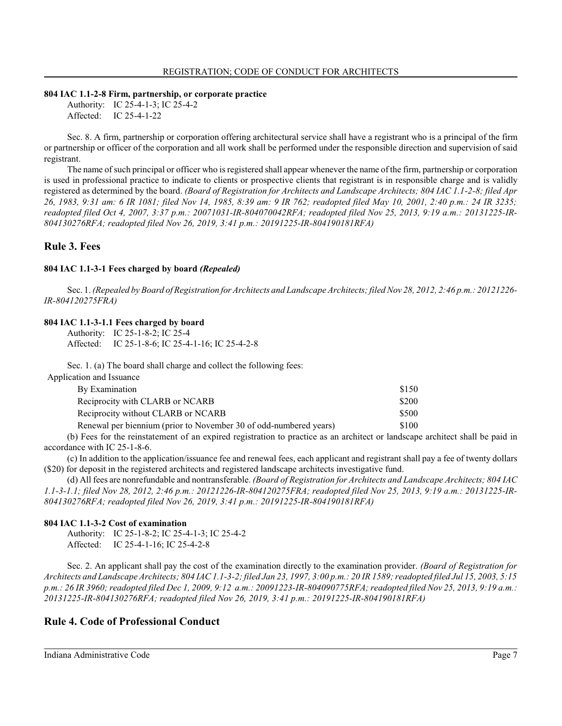#### **804 IAC 1.1-2-8 Firm, partnership, or corporate practice**

Authority: IC 25-4-1-3; IC 25-4-2 Affected: IC 25-4-1-22

Sec. 8. A firm, partnership or corporation offering architectural service shall have a registrant who is a principal of the firm or partnership or officer of the corporation and all work shall be performed under the responsible direction and supervision of said registrant.

The name of such principal or officer who is registered shall appear whenever the name of the firm, partnership or corporation is used in professional practice to indicate to clients or prospective clients that registrant is in responsible charge and is validly registered as determined by the board. *(Board of Registration for Architects and Landscape Architects; 804 IAC 1.1-2-8; filed Apr 26, 1983, 9:31 am: 6 IR 1081; filed Nov 14, 1985, 8:39 am: 9 IR 762; readopted filed May 10, 2001, 2:40 p.m.: 24 IR 3235; readopted filed Oct 4, 2007, 3:37 p.m.: 20071031-IR-804070042RFA; readopted filed Nov 25, 2013, 9:19 a.m.: 20131225-IR-804130276RFA; readopted filed Nov 26, 2019, 3:41 p.m.: 20191225-IR-804190181RFA)*

### **Rule 3. Fees**

#### **804 IAC 1.1-3-1 Fees charged by board** *(Repealed)*

Sec. 1. *(Repealed by Board of Registration for Architects and Landscape Architects; filed Nov 28, 2012, 2:46 p.m.: 20121226- IR-804120275FRA)*

## **804 IAC 1.1-3-1.1 Fees charged by board**

Authority: IC 25-1-8-2; IC 25-4 Affected: IC 25-1-8-6; IC 25-4-1-16; IC 25-4-2-8

Sec. 1. (a) The board shall charge and collect the following fees:

| Application and Issuance                                          |       |
|-------------------------------------------------------------------|-------|
| By Examination                                                    | \$150 |
| Reciprocity with CLARB or NCARB                                   | \$200 |
| Reciprocity without CLARB or NCARB                                | \$500 |
| Renewal per biennium (prior to November 30 of odd-numbered years) | \$100 |

(b) Fees for the reinstatement of an expired registration to practice as an architect or landscape architect shall be paid in accordance with IC 25-1-8-6.

(c) In addition to the application/issuance fee and renewal fees, each applicant and registrant shall pay a fee of twenty dollars (\$20) for deposit in the registered architects and registered landscape architects investigative fund.

(d) All fees are nonrefundable and nontransferable. *(Board of Registration for Architects and Landscape Architects; 804 IAC 1.1-3-1.1; filed Nov 28, 2012, 2:46 p.m.: 20121226-IR-804120275FRA; readopted filed Nov 25, 2013, 9:19 a.m.: 20131225-IR-804130276RFA; readopted filed Nov 26, 2019, 3:41 p.m.: 20191225-IR-804190181RFA)*

#### **804 IAC 1.1-3-2 Cost of examination**

Authority: IC 25-1-8-2; IC 25-4-1-3; IC 25-4-2 Affected: IC 25-4-1-16; IC 25-4-2-8

Sec. 2. An applicant shall pay the cost of the examination directly to the examination provider. *(Board of Registration for Architects and Landscape Architects; 804 IAC 1.1-3-2; filed Jan 23, 1997, 3:00 p.m.: 20 IR 1589; readopted filed Jul 15, 2003, 5:15 p.m.: 26 IR 3960; readopted filed Dec 1, 2009, 9:12 a.m.: 20091223-IR-804090775RFA; readopted filed Nov 25, 2013, 9:19 a.m.: 20131225-IR-804130276RFA; readopted filed Nov 26, 2019, 3:41 p.m.: 20191225-IR-804190181RFA)*

## **Rule 4. Code of Professional Conduct**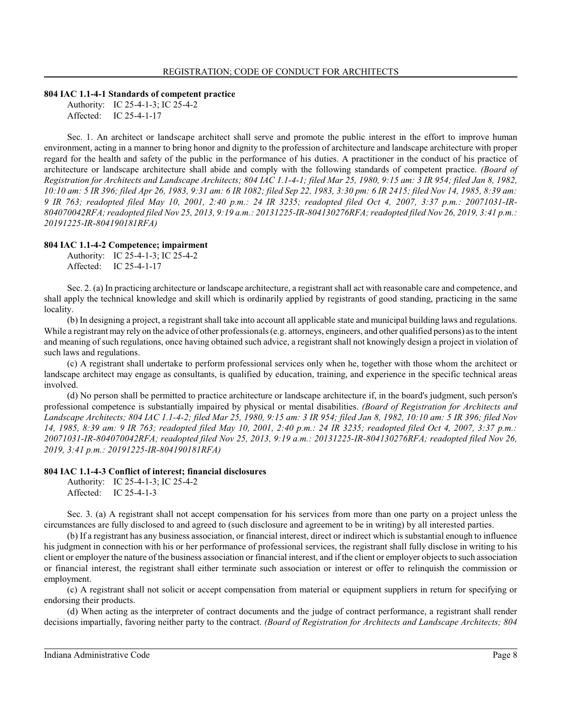#### **804 IAC 1.1-4-1 Standards of competent practice**

Authority: IC 25-4-1-3; IC 25-4-2 Affected: IC 25-4-1-17

Sec. 1. An architect or landscape architect shall serve and promote the public interest in the effort to improve human environment, acting in a manner to bring honor and dignity to the profession of architecture and landscape architecture with proper regard for the health and safety of the public in the performance of his duties. A practitioner in the conduct of his practice of architecture or landscape architecture shall abide and comply with the following standards of competent practice. *(Board of Registration for Architects and Landscape Architects; 804 IAC 1.1-4-1; filed Mar 25, 1980, 9:15 am: 3 IR 954; filed Jan 8, 1982, 10:10 am: 5 IR 396; filed Apr 26, 1983, 9:31 am: 6 IR 1082; filed Sep 22, 1983, 3:30 pm: 6 IR 2415; filed Nov 14, 1985, 8:39 am: 9 IR 763; readopted filed May 10, 2001, 2:40 p.m.: 24 IR 3235; readopted filed Oct 4, 2007, 3:37 p.m.: 20071031-IR-804070042RFA; readopted filed Nov 25, 2013, 9:19 a.m.: 20131225-IR-804130276RFA; readopted filed Nov 26, 2019, 3:41 p.m.: 20191225-IR-804190181RFA)*

#### **804 IAC 1.1-4-2 Competence; impairment**

Authority: IC 25-4-1-3; IC 25-4-2 Affected: IC 25-4-1-17

Sec. 2. (a) In practicing architecture or landscape architecture, a registrant shall act with reasonable care and competence, and shall apply the technical knowledge and skill which is ordinarily applied by registrants of good standing, practicing in the same locality.

(b) In designing a project, a registrant shall take into account all applicable state and municipal building laws and regulations. While a registrant may rely on the advice of other professionals (e.g. attorneys, engineers, and other qualified persons) as to the intent and meaning of such regulations, once having obtained such advice, a registrant shall not knowingly design a project in violation of such laws and regulations.

(c) A registrant shall undertake to perform professional services only when he, together with those whom the architect or landscape architect may engage as consultants, is qualified by education, training, and experience in the specific technical areas involved.

(d) No person shall be permitted to practice architecture or landscape architecture if, in the board's judgment, such person's professional competence is substantially impaired by physical or mental disabilities. *(Board of Registration for Architects and Landscape Architects; 804 IAC 1.1-4-2; filed Mar 25, 1980, 9:15 am: 3 IR 954; filed Jan 8, 1982, 10:10 am: 5 IR 396; filed Nov 14, 1985, 8:39 am: 9 IR 763; readopted filed May 10, 2001, 2:40 p.m.: 24 IR 3235; readopted filed Oct 4, 2007, 3:37 p.m.: 20071031-IR-804070042RFA; readopted filed Nov 25, 2013, 9:19 a.m.: 20131225-IR-804130276RFA; readopted filed Nov 26, 2019, 3:41 p.m.: 20191225-IR-804190181RFA)*

#### **804 IAC 1.1-4-3 Conflict of interest; financial disclosures**

Authority: IC 25-4-1-3; IC 25-4-2 Affected: IC 25-4-1-3

Sec. 3. (a) A registrant shall not accept compensation for his services from more than one party on a project unless the circumstances are fully disclosed to and agreed to (such disclosure and agreement to be in writing) by all interested parties.

(b) If a registrant has any business association, or financial interest, direct or indirect which is substantial enough to influence his judgment in connection with his or her performance of professional services, the registrant shall fully disclose in writing to his client or employer the nature of the business association or financial interest, and if the client or employer objects to such association or financial interest, the registrant shall either terminate such association or interest or offer to relinquish the commission or employment.

(c) A registrant shall not solicit or accept compensation from material or equipment suppliers in return for specifying or endorsing their products.

(d) When acting as the interpreter of contract documents and the judge of contract performance, a registrant shall render decisions impartially, favoring neither party to the contract. *(Board of Registration for Architects and Landscape Architects; 804*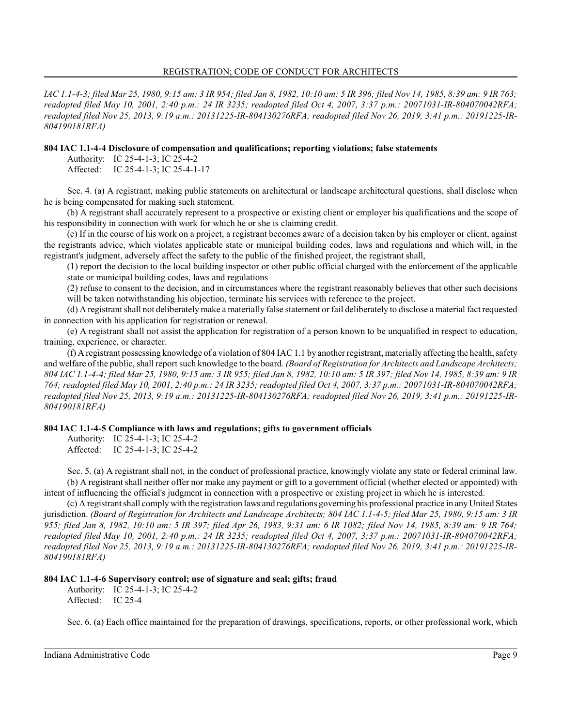#### REGISTRATION; CODE OF CONDUCT FOR ARCHITECTS

*IAC 1.1-4-3; filed Mar 25, 1980, 9:15 am: 3 IR 954; filed Jan 8, 1982, 10:10 am: 5 IR 396; filed Nov 14, 1985, 8:39 am: 9 IR 763; readopted filed May 10, 2001, 2:40 p.m.: 24 IR 3235; readopted filed Oct 4, 2007, 3:37 p.m.: 20071031-IR-804070042RFA; readopted filed Nov 25, 2013, 9:19 a.m.: 20131225-IR-804130276RFA; readopted filed Nov 26, 2019, 3:41 p.m.: 20191225-IR-804190181RFA)*

### **804 IAC 1.1-4-4 Disclosure of compensation and qualifications; reporting violations; false statements**

Authority: IC 25-4-1-3; IC 25-4-2

Affected: IC 25-4-1-3; IC 25-4-1-17

Sec. 4. (a) A registrant, making public statements on architectural or landscape architectural questions, shall disclose when he is being compensated for making such statement.

(b) A registrant shall accurately represent to a prospective or existing client or employer his qualifications and the scope of his responsibility in connection with work for which he or she is claiming credit.

(c) If in the course of his work on a project, a registrant becomes aware of a decision taken by his employer or client, against the registrants advice, which violates applicable state or municipal building codes, laws and regulations and which will, in the registrant's judgment, adversely affect the safety to the public of the finished project, the registrant shall,

(1) report the decision to the local building inspector or other public official charged with the enforcement of the applicable state or municipal building codes, laws and regulations

(2) refuse to consent to the decision, and in circumstances where the registrant reasonably believes that other such decisions will be taken notwithstanding his objection, terminate his services with reference to the project.

(d) A registrant shall not deliberately make a materially false statement or fail deliberately to disclose a material fact requested in connection with his application for registration or renewal.

(e) A registrant shall not assist the application for registration of a person known to be unqualified in respect to education, training, experience, or character.

(f) A registrant possessing knowledge of a violation of 804 IAC1.1 by another registrant, materially affecting the health, safety and welfare of the public, shall report such knowledge to the board. *(Board of Registration for Architects and Landscape Architects; 804 IAC 1.1-4-4; filed Mar 25, 1980, 9:15 am: 3 IR 955; filed Jan 8, 1982, 10:10 am: 5 IR 397; filed Nov 14, 1985, 8:39 am: 9 IR 764; readopted filed May 10, 2001, 2:40 p.m.: 24 IR 3235; readopted filed Oct 4, 2007, 3:37 p.m.: 20071031-IR-804070042RFA; readopted filed Nov 25, 2013, 9:19 a.m.: 20131225-IR-804130276RFA; readopted filed Nov 26, 2019, 3:41 p.m.: 20191225-IR-804190181RFA)*

### **804 IAC 1.1-4-5 Compliance with laws and regulations; gifts to government officials**

Authority: IC 25-4-1-3; IC 25-4-2 Affected: IC 25-4-1-3; IC 25-4-2

Sec. 5. (a) A registrant shall not, in the conduct of professional practice, knowingly violate any state or federal criminal law. (b) A registrant shall neither offer nor make any payment or gift to a government official (whether elected or appointed) with intent of influencing the official's judgment in connection with a prospective or existing project in which he is interested.

(c) A registrant shall comply with the registration laws and regulations governing his professional practice in any United States jurisdiction. *(Board of Registration for Architects and Landscape Architects; 804 IAC 1.1-4-5; filed Mar 25, 1980, 9:15 am: 3 IR 955; filed Jan 8, 1982, 10:10 am: 5 IR 397; filed Apr 26, 1983, 9:31 am: 6 IR 1082; filed Nov 14, 1985, 8:39 am: 9 IR 764; readopted filed May 10, 2001, 2:40 p.m.: 24 IR 3235; readopted filed Oct 4, 2007, 3:37 p.m.: 20071031-IR-804070042RFA; readopted filed Nov 25, 2013, 9:19 a.m.: 20131225-IR-804130276RFA; readopted filed Nov 26, 2019, 3:41 p.m.: 20191225-IR-804190181RFA)*

### **804 IAC 1.1-4-6 Supervisory control; use of signature and seal; gifts; fraud**

Authority: IC 25-4-1-3; IC 25-4-2 Affected: IC 25-4

Sec. 6. (a) Each office maintained for the preparation of drawings, specifications, reports, or other professional work, which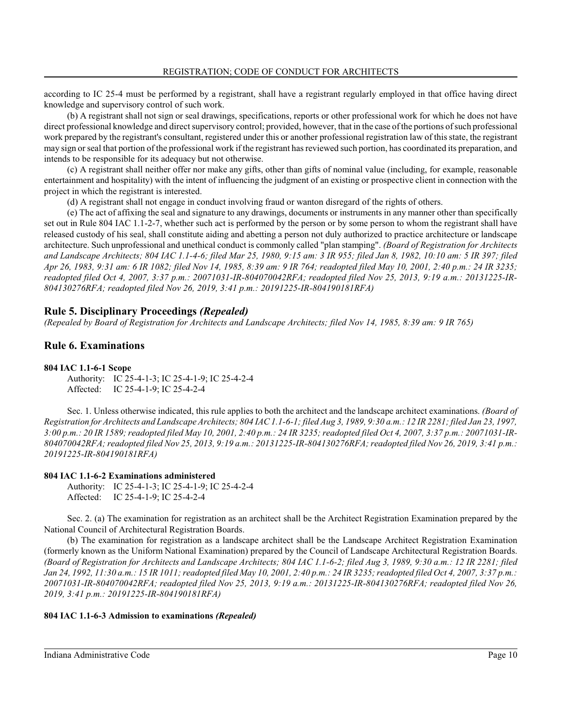according to IC 25-4 must be performed by a registrant, shall have a registrant regularly employed in that office having direct knowledge and supervisory control of such work.

(b) A registrant shall not sign or seal drawings, specifications, reports or other professional work for which he does not have direct professional knowledge and direct supervisory control; provided, however, that in the case of the portions of such professional work prepared by the registrant's consultant, registered under this or another professional registration law of thisstate, the registrant may sign orseal that portion of the professional work if the registrant has reviewed such portion, has coordinated its preparation, and intends to be responsible for its adequacy but not otherwise.

(c) A registrant shall neither offer nor make any gifts, other than gifts of nominal value (including, for example, reasonable entertainment and hospitality) with the intent of influencing the judgment of an existing or prospective client in connection with the project in which the registrant is interested.

(d) A registrant shall not engage in conduct involving fraud or wanton disregard of the rights of others.

(e) The act of affixing the seal and signature to any drawings, documents or instruments in any manner other than specifically set out in Rule 804 IAC 1.1-2-7, whether such act is performed by the person or by some person to whom the registrant shall have released custody of his seal, shall constitute aiding and abetting a person not duly authorized to practice architecture or landscape architecture. Such unprofessional and unethical conduct is commonly called "plan stamping". *(Board of Registration for Architects and Landscape Architects; 804 IAC 1.1-4-6; filed Mar 25, 1980, 9:15 am: 3 IR 955; filed Jan 8, 1982, 10:10 am: 5 IR 397; filed Apr 26, 1983, 9:31 am: 6 IR 1082; filed Nov 14, 1985, 8:39 am: 9 IR 764; readopted filed May 10, 2001, 2:40 p.m.: 24 IR 3235; readopted filed Oct 4, 2007, 3:37 p.m.: 20071031-IR-804070042RFA; readopted filed Nov 25, 2013, 9:19 a.m.: 20131225-IR-804130276RFA; readopted filed Nov 26, 2019, 3:41 p.m.: 20191225-IR-804190181RFA)*

## **Rule 5. Disciplinary Proceedings** *(Repealed)*

*(Repealed by Board of Registration for Architects and Landscape Architects; filed Nov 14, 1985, 8:39 am: 9 IR 765)*

## **Rule 6. Examinations**

## **804 IAC 1.1-6-1 Scope**

Authority: IC 25-4-1-3; IC 25-4-1-9; IC 25-4-2-4 Affected: IC 25-4-1-9; IC 25-4-2-4

Sec. 1. Unless otherwise indicated, this rule applies to both the architect and the landscape architect examinations. *(Board of Registration for Architects and Landscape Architects; 804 IAC 1.1-6-1; filed Aug 3, 1989, 9:30 a.m.: 12 IR 2281; filed Jan 23, 1997, 3:00 p.m.: 20 IR 1589; readopted filed May 10, 2001, 2:40 p.m.: 24 IR 3235; readopted filed Oct 4, 2007, 3:37 p.m.: 20071031-IR-804070042RFA; readopted filed Nov 25, 2013, 9:19 a.m.: 20131225-IR-804130276RFA; readopted filed Nov 26, 2019, 3:41 p.m.: 20191225-IR-804190181RFA)*

### **804 IAC 1.1-6-2 Examinations administered**

Authority: IC 25-4-1-3; IC 25-4-1-9; IC 25-4-2-4 Affected: IC 25-4-1-9; IC 25-4-2-4

Sec. 2. (a) The examination for registration as an architect shall be the Architect Registration Examination prepared by the National Council of Architectural Registration Boards.

(b) The examination for registration as a landscape architect shall be the Landscape Architect Registration Examination (formerly known as the Uniform National Examination) prepared by the Council of Landscape Architectural Registration Boards. *(Board of Registration for Architects and Landscape Architects; 804 IAC 1.1-6-2; filed Aug 3, 1989, 9:30 a.m.: 12 IR 2281; filed Jan 24, 1992, 11:30 a.m.: 15 IR 1011; readopted filed May 10, 2001, 2:40 p.m.: 24 IR 3235; readopted filed Oct 4, 2007, 3:37 p.m.: 20071031-IR-804070042RFA; readopted filed Nov 25, 2013, 9:19 a.m.: 20131225-IR-804130276RFA; readopted filed Nov 26, 2019, 3:41 p.m.: 20191225-IR-804190181RFA)*

### **804 IAC 1.1-6-3 Admission to examinations** *(Repealed)*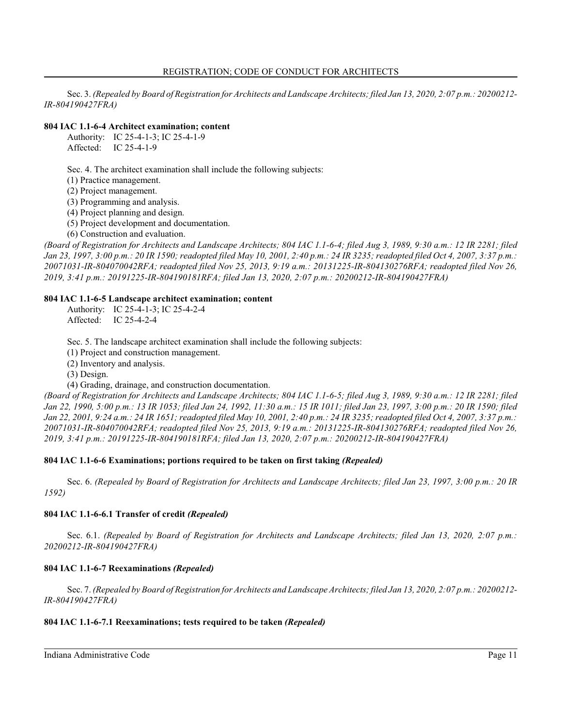#### REGISTRATION; CODE OF CONDUCT FOR ARCHITECTS

Sec. 3. *(Repealed by Board of Registration for Architects and Landscape Architects; filed Jan 13, 2020, 2:07 p.m.: 20200212- IR-804190427FRA)*

## **804 IAC 1.1-6-4 Architect examination; content**

Authority: IC 25-4-1-3; IC 25-4-1-9 Affected: IC 25-4-1-9

Sec. 4. The architect examination shall include the following subjects:

(1) Practice management.

(2) Project management.

(3) Programming and analysis.

(4) Project planning and design.

(5) Project development and documentation.

(6) Construction and evaluation.

*(Board of Registration for Architects and Landscape Architects; 804 IAC 1.1-6-4; filed Aug 3, 1989, 9:30 a.m.: 12 IR 2281; filed Jan 23, 1997, 3:00 p.m.: 20 IR 1590; readopted filed May 10, 2001, 2:40 p.m.: 24 IR 3235; readopted filed Oct 4, 2007, 3:37 p.m.: 20071031-IR-804070042RFA; readopted filed Nov 25, 2013, 9:19 a.m.: 20131225-IR-804130276RFA; readopted filed Nov 26, 2019, 3:41 p.m.: 20191225-IR-804190181RFA; filed Jan 13, 2020, 2:07 p.m.: 20200212-IR-804190427FRA)*

#### **804 IAC 1.1-6-5 Landscape architect examination; content**

Authority: IC 25-4-1-3; IC 25-4-2-4 Affected: IC 25-4-2-4

Sec. 5. The landscape architect examination shall include the following subjects:

(1) Project and construction management.

(2) Inventory and analysis.

(3) Design.

(4) Grading, drainage, and construction documentation.

*(Board of Registration for Architects and Landscape Architects; 804 IAC 1.1-6-5; filed Aug 3, 1989, 9:30 a.m.: 12 IR 2281; filed Jan 22, 1990, 5:00 p.m.: 13 IR 1053; filed Jan 24, 1992, 11:30 a.m.: 15 IR 1011; filed Jan 23, 1997, 3:00 p.m.: 20 IR 1590; filed Jan 22, 2001, 9:24 a.m.: 24 IR 1651; readopted filed May 10, 2001, 2:40 p.m.: 24 IR 3235; readopted filed Oct 4, 2007, 3:37 p.m.: 20071031-IR-804070042RFA; readopted filed Nov 25, 2013, 9:19 a.m.: 20131225-IR-804130276RFA; readopted filed Nov 26, 2019, 3:41 p.m.: 20191225-IR-804190181RFA; filed Jan 13, 2020, 2:07 p.m.: 20200212-IR-804190427FRA)*

### **804 IAC 1.1-6-6 Examinations; portions required to be taken on first taking** *(Repealed)*

Sec. 6. *(Repealed by Board of Registration for Architects and Landscape Architects; filed Jan 23, 1997, 3:00 p.m.: 20 IR 1592)*

### **804 IAC 1.1-6-6.1 Transfer of credit** *(Repealed)*

Sec. 6.1. *(Repealed by Board of Registration for Architects and Landscape Architects; filed Jan 13, 2020, 2:07 p.m.: 20200212-IR-804190427FRA)*

### **804 IAC 1.1-6-7 Reexaminations** *(Repealed)*

Sec. 7. *(Repealed by Board of Registration for Architects and Landscape Architects; filed Jan 13, 2020, 2:07 p.m.: 20200212- IR-804190427FRA)*

#### **804 IAC 1.1-6-7.1 Reexaminations; tests required to be taken** *(Repealed)*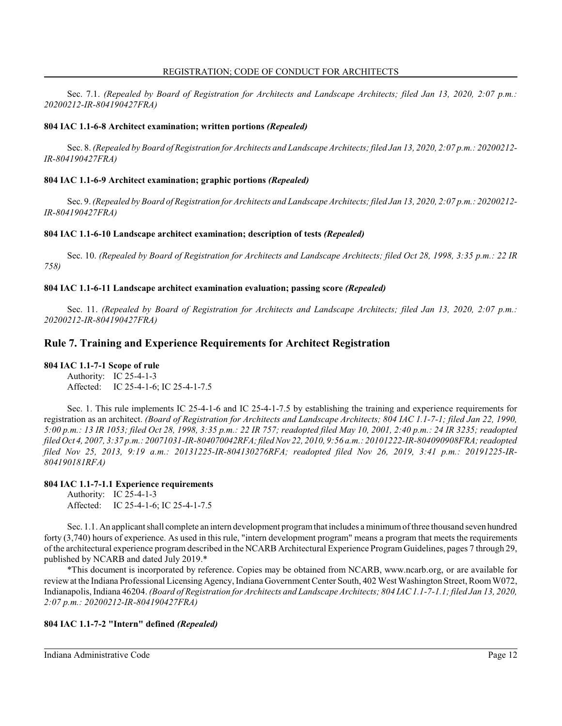Sec. 7.1. *(Repealed by Board of Registration for Architects and Landscape Architects; filed Jan 13, 2020, 2:07 p.m.: 20200212-IR-804190427FRA)*

## **804 IAC 1.1-6-8 Architect examination; written portions** *(Repealed)*

Sec. 8. *(Repealed by Board of Registration for Architects and Landscape Architects; filed Jan 13, 2020, 2:07 p.m.: 20200212- IR-804190427FRA)*

## **804 IAC 1.1-6-9 Architect examination; graphic portions** *(Repealed)*

Sec. 9. *(Repealed by Board of Registration for Architects and Landscape Architects; filed Jan 13, 2020, 2:07 p.m.: 20200212- IR-804190427FRA)*

### **804 IAC 1.1-6-10 Landscape architect examination; description of tests** *(Repealed)*

Sec. 10. *(Repealed by Board of Registration for Architects and Landscape Architects; filed Oct 28, 1998, 3:35 p.m.: 22 IR 758)*

## **804 IAC 1.1-6-11 Landscape architect examination evaluation; passing score** *(Repealed)*

Sec. 11. *(Repealed by Board of Registration for Architects and Landscape Architects; filed Jan 13, 2020, 2:07 p.m.: 20200212-IR-804190427FRA)*

## **Rule 7. Training and Experience Requirements for Architect Registration**

## **804 IAC 1.1-7-1 Scope of rule**

Authority: IC 25-4-1-3 Affected: IC 25-4-1-6; IC 25-4-1-7.5

Sec. 1. This rule implements IC 25-4-1-6 and IC 25-4-1-7.5 by establishing the training and experience requirements for registration as an architect. *(Board of Registration for Architects and Landscape Architects; 804 IAC 1.1-7-1; filed Jan 22, 1990, 5:00 p.m.: 13 IR 1053; filed Oct 28, 1998, 3:35 p.m.: 22 IR 757; readopted filed May 10, 2001, 2:40 p.m.: 24 IR 3235; readopted filed Oct 4, 2007, 3:37 p.m.: 20071031-IR-804070042RFA;filed Nov 22, 2010, 9:56 a.m.: 20101222-IR-804090908FRA; readopted filed Nov 25, 2013, 9:19 a.m.: 20131225-IR-804130276RFA; readopted filed Nov 26, 2019, 3:41 p.m.: 20191225-IR-804190181RFA)*

### **804 IAC 1.1-7-1.1 Experience requirements**

Authority: IC 25-4-1-3 Affected: IC 25-4-1-6; IC 25-4-1-7.5

Sec. 1.1. An applicant shall complete an intern development programthat includes a minimumof three thousand seven hundred forty (3,740) hours of experience. As used in this rule, "intern development program" means a program that meets the requirements of the architectural experience program described in the NCARB Architectural Experience Program Guidelines, pages 7 through 29, published by NCARB and dated July 2019.\*

\*This document is incorporated by reference. Copies may be obtained from NCARB, www.ncarb.org, or are available for reviewat the Indiana Professional Licensing Agency, Indiana Government Center South, 402 West Washington Street, RoomW072, Indianapolis, Indiana 46204. *(Board of Registration for Architects and Landscape Architects; 804 IAC 1.1-7-1.1; filed Jan 13, 2020, 2:07 p.m.: 20200212-IR-804190427FRA)*

### **804 IAC 1.1-7-2 "Intern" defined** *(Repealed)*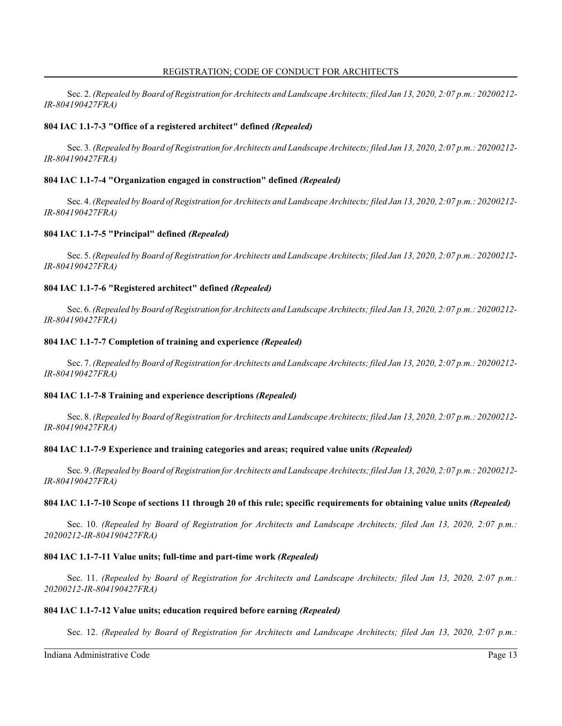Sec. 2. *(Repealed by Board of Registration for Architects and Landscape Architects; filed Jan 13, 2020, 2:07 p.m.: 20200212- IR-804190427FRA)*

## **804 IAC 1.1-7-3 "Office of a registered architect" defined** *(Repealed)*

Sec. 3. *(Repealed by Board of Registration for Architects and Landscape Architects; filed Jan 13, 2020, 2:07 p.m.: 20200212- IR-804190427FRA)*

## **804 IAC 1.1-7-4 "Organization engaged in construction" defined** *(Repealed)*

Sec. 4. *(Repealed by Board of Registration for Architects and Landscape Architects; filed Jan 13, 2020, 2:07 p.m.: 20200212- IR-804190427FRA)*

## **804 IAC 1.1-7-5 "Principal" defined** *(Repealed)*

Sec. 5. *(Repealed by Board of Registration for Architects and Landscape Architects; filed Jan 13, 2020, 2:07 p.m.: 20200212- IR-804190427FRA)*

### **804 IAC 1.1-7-6 "Registered architect" defined** *(Repealed)*

Sec. 6. *(Repealed by Board of Registration for Architects and Landscape Architects; filed Jan 13, 2020, 2:07 p.m.: 20200212- IR-804190427FRA)*

### **804 IAC 1.1-7-7 Completion of training and experience** *(Repealed)*

Sec. 7. *(Repealed by Board of Registration for Architects and Landscape Architects; filed Jan 13, 2020, 2:07 p.m.: 20200212- IR-804190427FRA)*

### **804 IAC 1.1-7-8 Training and experience descriptions** *(Repealed)*

Sec. 8. *(Repealed by Board of Registration for Architects and Landscape Architects; filed Jan 13, 2020, 2:07 p.m.: 20200212- IR-804190427FRA)*

### **804 IAC 1.1-7-9 Experience and training categories and areas; required value units** *(Repealed)*

Sec. 9. *(Repealed by Board of Registration for Architects and Landscape Architects; filed Jan 13, 2020, 2:07 p.m.: 20200212- IR-804190427FRA)*

### **804 IAC 1.1-7-10 Scope of sections 11 through 20 of this rule; specific requirements for obtaining value units** *(Repealed)*

Sec. 10. *(Repealed by Board of Registration for Architects and Landscape Architects; filed Jan 13, 2020, 2:07 p.m.: 20200212-IR-804190427FRA)*

### **804 IAC 1.1-7-11 Value units; full-time and part-time work** *(Repealed)*

Sec. 11. *(Repealed by Board of Registration for Architects and Landscape Architects; filed Jan 13, 2020, 2:07 p.m.: 20200212-IR-804190427FRA)*

### **804 IAC 1.1-7-12 Value units; education required before earning** *(Repealed)*

Sec. 12. *(Repealed by Board of Registration for Architects and Landscape Architects; filed Jan 13, 2020, 2:07 p.m.:*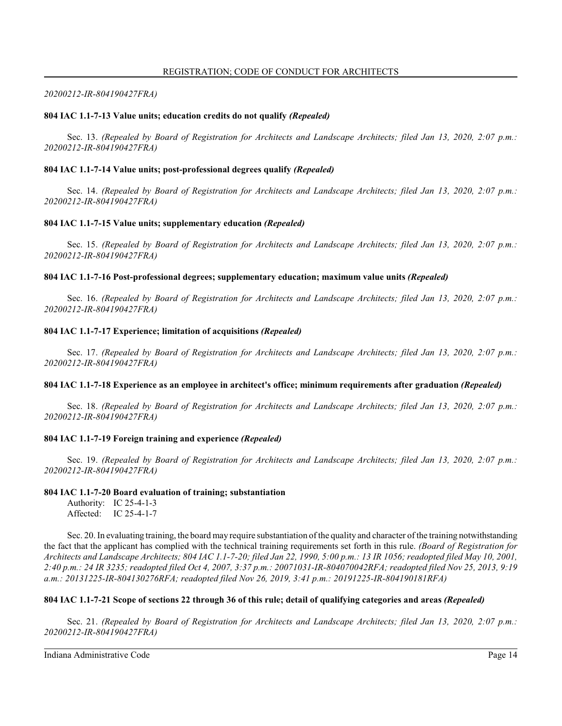#### *20200212-IR-804190427FRA)*

#### **804 IAC 1.1-7-13 Value units; education credits do not qualify** *(Repealed)*

Sec. 13. *(Repealed by Board of Registration for Architects and Landscape Architects; filed Jan 13, 2020, 2:07 p.m.: 20200212-IR-804190427FRA)*

#### **804 IAC 1.1-7-14 Value units; post-professional degrees qualify** *(Repealed)*

Sec. 14. *(Repealed by Board of Registration for Architects and Landscape Architects; filed Jan 13, 2020, 2:07 p.m.: 20200212-IR-804190427FRA)*

#### **804 IAC 1.1-7-15 Value units; supplementary education** *(Repealed)*

Sec. 15. *(Repealed by Board of Registration for Architects and Landscape Architects; filed Jan 13, 2020, 2:07 p.m.: 20200212-IR-804190427FRA)*

#### **804 IAC 1.1-7-16 Post-professional degrees; supplementary education; maximum value units** *(Repealed)*

Sec. 16. *(Repealed by Board of Registration for Architects and Landscape Architects; filed Jan 13, 2020, 2:07 p.m.: 20200212-IR-804190427FRA)*

#### **804 IAC 1.1-7-17 Experience; limitation of acquisitions** *(Repealed)*

Sec. 17. *(Repealed by Board of Registration for Architects and Landscape Architects; filed Jan 13, 2020, 2:07 p.m.: 20200212-IR-804190427FRA)*

#### **804 IAC 1.1-7-18 Experience as an employee in architect's office; minimum requirements after graduation** *(Repealed)*

Sec. 18. *(Repealed by Board of Registration for Architects and Landscape Architects; filed Jan 13, 2020, 2:07 p.m.: 20200212-IR-804190427FRA)*

### **804 IAC 1.1-7-19 Foreign training and experience** *(Repealed)*

Sec. 19. *(Repealed by Board of Registration for Architects and Landscape Architects; filed Jan 13, 2020, 2:07 p.m.: 20200212-IR-804190427FRA)*

#### **804 IAC 1.1-7-20 Board evaluation of training; substantiation**

Authority: IC 25-4-1-3 Affected: IC 25-4-1-7

Sec. 20. In evaluating training, the board may require substantiation of the quality and character of the training notwithstanding the fact that the applicant has complied with the technical training requirements set forth in this rule. *(Board of Registration for Architects and Landscape Architects; 804 IAC 1.1-7-20; filed Jan 22, 1990, 5:00 p.m.: 13 IR 1056; readopted filed May 10, 2001, 2:40 p.m.: 24 IR 3235; readopted filed Oct 4, 2007, 3:37 p.m.: 20071031-IR-804070042RFA; readopted filed Nov 25, 2013, 9:19 a.m.: 20131225-IR-804130276RFA; readopted filed Nov 26, 2019, 3:41 p.m.: 20191225-IR-804190181RFA)*

### **804 IAC 1.1-7-21 Scope of sections 22 through 36 of this rule; detail of qualifying categories and areas** *(Repealed)*

Sec. 21. *(Repealed by Board of Registration for Architects and Landscape Architects; filed Jan 13, 2020, 2:07 p.m.: 20200212-IR-804190427FRA)*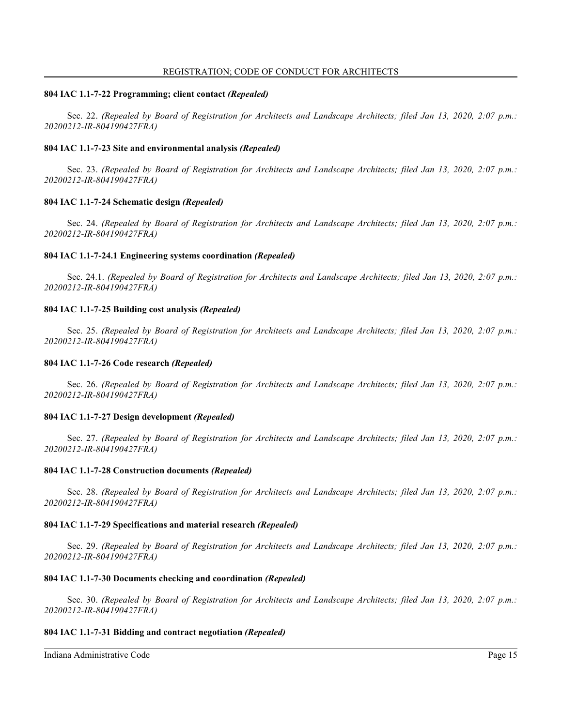#### **804 IAC 1.1-7-22 Programming; client contact** *(Repealed)*

Sec. 22. *(Repealed by Board of Registration for Architects and Landscape Architects; filed Jan 13, 2020, 2:07 p.m.: 20200212-IR-804190427FRA)*

### **804 IAC 1.1-7-23 Site and environmental analysis** *(Repealed)*

Sec. 23. *(Repealed by Board of Registration for Architects and Landscape Architects; filed Jan 13, 2020, 2:07 p.m.: 20200212-IR-804190427FRA)*

#### **804 IAC 1.1-7-24 Schematic design** *(Repealed)*

Sec. 24. *(Repealed by Board of Registration for Architects and Landscape Architects; filed Jan 13, 2020, 2:07 p.m.: 20200212-IR-804190427FRA)*

#### **804 IAC 1.1-7-24.1 Engineering systems coordination** *(Repealed)*

Sec. 24.1. *(Repealed by Board of Registration for Architects and Landscape Architects; filed Jan 13, 2020, 2:07 p.m.: 20200212-IR-804190427FRA)*

#### **804 IAC 1.1-7-25 Building cost analysis** *(Repealed)*

Sec. 25. *(Repealed by Board of Registration for Architects and Landscape Architects; filed Jan 13, 2020, 2:07 p.m.: 20200212-IR-804190427FRA)*

#### **804 IAC 1.1-7-26 Code research** *(Repealed)*

Sec. 26. *(Repealed by Board of Registration for Architects and Landscape Architects; filed Jan 13, 2020, 2:07 p.m.: 20200212-IR-804190427FRA)*

#### **804 IAC 1.1-7-27 Design development** *(Repealed)*

Sec. 27. *(Repealed by Board of Registration for Architects and Landscape Architects; filed Jan 13, 2020, 2:07 p.m.: 20200212-IR-804190427FRA)*

#### **804 IAC 1.1-7-28 Construction documents** *(Repealed)*

Sec. 28. *(Repealed by Board of Registration for Architects and Landscape Architects; filed Jan 13, 2020, 2:07 p.m.: 20200212-IR-804190427FRA)*

### **804 IAC 1.1-7-29 Specifications and material research** *(Repealed)*

Sec. 29. *(Repealed by Board of Registration for Architects and Landscape Architects; filed Jan 13, 2020, 2:07 p.m.: 20200212-IR-804190427FRA)*

#### **804 IAC 1.1-7-30 Documents checking and coordination** *(Repealed)*

Sec. 30. *(Repealed by Board of Registration for Architects and Landscape Architects; filed Jan 13, 2020, 2:07 p.m.: 20200212-IR-804190427FRA)*

### **804 IAC 1.1-7-31 Bidding and contract negotiation** *(Repealed)*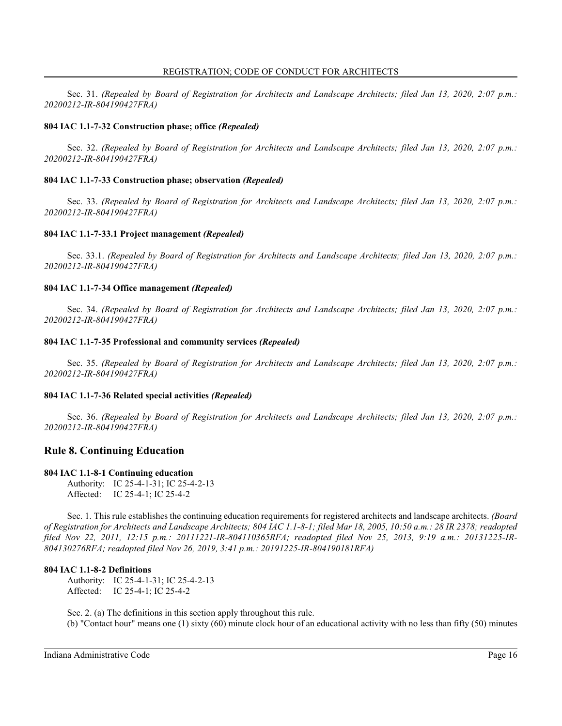Sec. 31. *(Repealed by Board of Registration for Architects and Landscape Architects; filed Jan 13, 2020, 2:07 p.m.: 20200212-IR-804190427FRA)*

## **804 IAC 1.1-7-32 Construction phase; office** *(Repealed)*

Sec. 32. *(Repealed by Board of Registration for Architects and Landscape Architects; filed Jan 13, 2020, 2:07 p.m.: 20200212-IR-804190427FRA)*

## **804 IAC 1.1-7-33 Construction phase; observation** *(Repealed)*

Sec. 33. *(Repealed by Board of Registration for Architects and Landscape Architects; filed Jan 13, 2020, 2:07 p.m.: 20200212-IR-804190427FRA)*

### **804 IAC 1.1-7-33.1 Project management** *(Repealed)*

Sec. 33.1. *(Repealed by Board of Registration for Architects and Landscape Architects; filed Jan 13, 2020, 2:07 p.m.: 20200212-IR-804190427FRA)*

### **804 IAC 1.1-7-34 Office management** *(Repealed)*

Sec. 34. *(Repealed by Board of Registration for Architects and Landscape Architects; filed Jan 13, 2020, 2:07 p.m.: 20200212-IR-804190427FRA)*

### **804 IAC 1.1-7-35 Professional and community services** *(Repealed)*

Sec. 35. *(Repealed by Board of Registration for Architects and Landscape Architects; filed Jan 13, 2020, 2:07 p.m.: 20200212-IR-804190427FRA)*

### **804 IAC 1.1-7-36 Related special activities** *(Repealed)*

Sec. 36. *(Repealed by Board of Registration for Architects and Landscape Architects; filed Jan 13, 2020, 2:07 p.m.: 20200212-IR-804190427FRA)*

## **Rule 8. Continuing Education**

### **804 IAC 1.1-8-1 Continuing education**

Authority: IC 25-4-1-31; IC 25-4-2-13 Affected: IC 25-4-1; IC 25-4-2

Sec. 1. This rule establishes the continuing education requirements for registered architects and landscape architects. *(Board of Registration for Architects and Landscape Architects; 804 IAC 1.1-8-1; filed Mar 18, 2005, 10:50 a.m.: 28 IR 2378; readopted filed Nov 22, 2011, 12:15 p.m.: 20111221-IR-804110365RFA; readopted filed Nov 25, 2013, 9:19 a.m.: 20131225-IR-804130276RFA; readopted filed Nov 26, 2019, 3:41 p.m.: 20191225-IR-804190181RFA)*

### **804 IAC 1.1-8-2 Definitions**

Authority: IC 25-4-1-31; IC 25-4-2-13 Affected: IC 25-4-1; IC 25-4-2

Sec. 2. (a) The definitions in this section apply throughout this rule. (b) "Contact hour" means one (1) sixty (60) minute clock hour of an educational activity with no less than fifty (50) minutes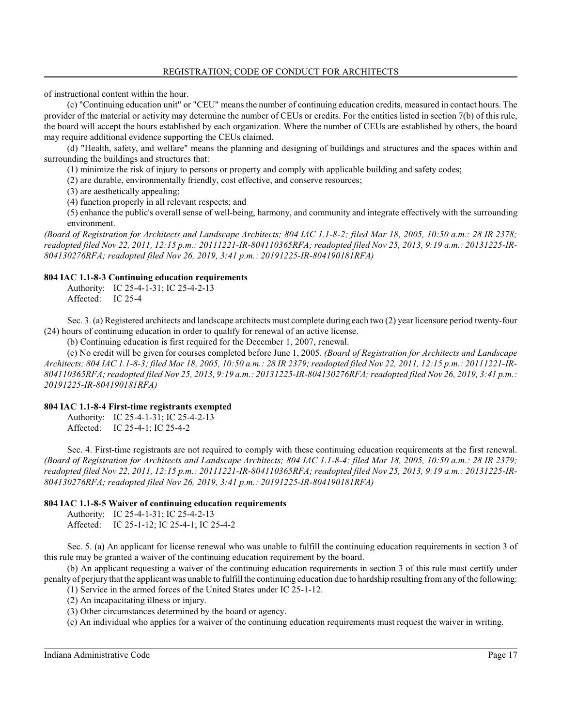of instructional content within the hour.

(c) "Continuing education unit" or "CEU" means the number of continuing education credits, measured in contact hours. The provider of the material or activity may determine the number of CEUs or credits. For the entities listed in section 7(b) of this rule, the board will accept the hours established by each organization. Where the number of CEUs are established by others, the board may require additional evidence supporting the CEUs claimed.

(d) "Health, safety, and welfare" means the planning and designing of buildings and structures and the spaces within and surrounding the buildings and structures that:

(1) minimize the risk of injury to persons or property and comply with applicable building and safety codes;

(2) are durable, environmentally friendly, cost effective, and conserve resources;

(3) are aesthetically appealing;

(4) function properly in all relevant respects; and

(5) enhance the public's overall sense of well-being, harmony, and community and integrate effectively with the surrounding environment.

*(Board of Registration for Architects and Landscape Architects; 804 IAC 1.1-8-2; filed Mar 18, 2005, 10:50 a.m.: 28 IR 2378; readopted filed Nov 22, 2011, 12:15 p.m.: 20111221-IR-804110365RFA; readopted filed Nov 25, 2013, 9:19 a.m.: 20131225-IR-804130276RFA; readopted filed Nov 26, 2019, 3:41 p.m.: 20191225-IR-804190181RFA)*

### **804 IAC 1.1-8-3 Continuing education requirements**

Authority: IC 25-4-1-31; IC 25-4-2-13 Affected: IC 25-4

Sec. 3. (a) Registered architects and landscape architects must complete during each two (2) year licensure period twenty-four (24) hours of continuing education in order to qualify for renewal of an active license.

(b) Continuing education is first required for the December 1, 2007, renewal.

(c) No credit will be given for courses completed before June 1, 2005. *(Board of Registration for Architects and Landscape Architects; 804 IAC 1.1-8-3; filed Mar 18, 2005, 10:50 a.m.: 28 IR 2379; readopted filed Nov 22, 2011, 12:15 p.m.: 20111221-IR-804110365RFA; readopted filed Nov 25, 2013, 9:19 a.m.: 20131225-IR-804130276RFA; readopted filed Nov 26, 2019, 3:41 p.m.: 20191225-IR-804190181RFA)*

### **804 IAC 1.1-8-4 First-time registrants exempted**

Authority: IC 25-4-1-31; IC 25-4-2-13 Affected: IC 25-4-1; IC 25-4-2

Sec. 4. First-time registrants are not required to comply with these continuing education requirements at the first renewal. *(Board of Registration for Architects and Landscape Architects; 804 IAC 1.1-8-4; filed Mar 18, 2005, 10:50 a.m.: 28 IR 2379; readopted filed Nov 22, 2011, 12:15 p.m.: 20111221-IR-804110365RFA; readopted filed Nov 25, 2013, 9:19 a.m.: 20131225-IR-804130276RFA; readopted filed Nov 26, 2019, 3:41 p.m.: 20191225-IR-804190181RFA)*

### **804 IAC 1.1-8-5 Waiver of continuing education requirements**

Authority: IC 25-4-1-31; IC 25-4-2-13 Affected: IC 25-1-12; IC 25-4-1; IC 25-4-2

Sec. 5. (a) An applicant for license renewal who was unable to fulfill the continuing education requirements in section 3 of this rule may be granted a waiver of the continuing education requirement by the board.

(b) An applicant requesting a waiver of the continuing education requirements in section 3 of this rule must certify under penalty of perjury that the applicant was unable to fulfill the continuing education due to hardship resulting fromany of the following:

(1) Service in the armed forces of the United States under IC 25-1-12.

(2) An incapacitating illness or injury.

(3) Other circumstances determined by the board or agency.

(c) An individual who applies for a waiver of the continuing education requirements must request the waiver in writing.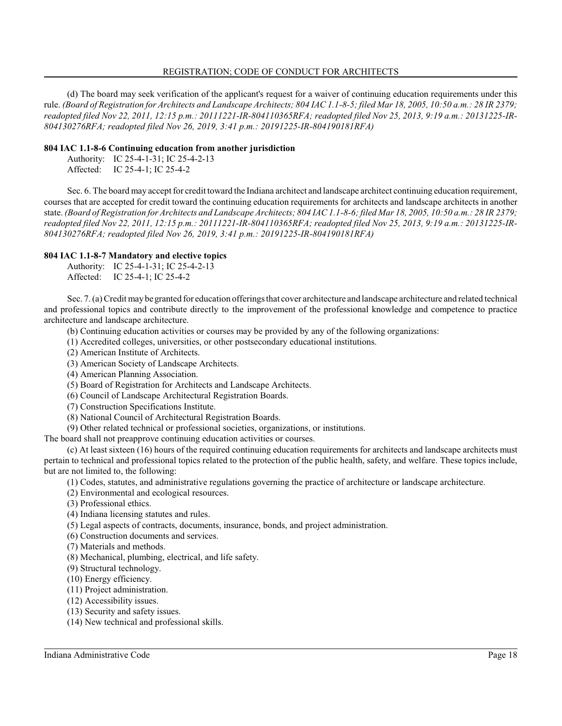#### REGISTRATION; CODE OF CONDUCT FOR ARCHITECTS

(d) The board may seek verification of the applicant's request for a waiver of continuing education requirements under this rule. *(Board of Registration for Architects and Landscape Architects; 804 IAC 1.1-8-5; filed Mar 18, 2005, 10:50 a.m.: 28 IR 2379; readopted filed Nov 22, 2011, 12:15 p.m.: 20111221-IR-804110365RFA; readopted filed Nov 25, 2013, 9:19 a.m.: 20131225-IR-804130276RFA; readopted filed Nov 26, 2019, 3:41 p.m.: 20191225-IR-804190181RFA)*

#### **804 IAC 1.1-8-6 Continuing education from another jurisdiction**

Authority: IC 25-4-1-31; IC 25-4-2-13 Affected: IC 25-4-1; IC 25-4-2

Sec. 6. The board may accept for credit toward the Indiana architect and landscape architect continuing education requirement, courses that are accepted for credit toward the continuing education requirements for architects and landscape architects in another state. *(Board of Registration for Architects and Landscape Architects; 804 IAC 1.1-8-6; filed Mar 18, 2005, 10:50 a.m.: 28 IR 2379; readopted filed Nov 22, 2011, 12:15 p.m.: 20111221-IR-804110365RFA; readopted filed Nov 25, 2013, 9:19 a.m.: 20131225-IR-804130276RFA; readopted filed Nov 26, 2019, 3:41 p.m.: 20191225-IR-804190181RFA)*

### **804 IAC 1.1-8-7 Mandatory and elective topics**

| Authority: IC 25-4-1-31; IC 25-4-2-13 |
|---------------------------------------|
| Affected: IC 25-4-1; IC 25-4-2        |

Sec. 7. (a) Credit may be granted for education offerings that cover architecture and landscape architecture and related technical and professional topics and contribute directly to the improvement of the professional knowledge and competence to practice architecture and landscape architecture.

- (b) Continuing education activities or courses may be provided by any of the following organizations:
- (1) Accredited colleges, universities, or other postsecondary educational institutions.
- (2) American Institute of Architects.
- (3) American Society of Landscape Architects.
- (4) American Planning Association.
- (5) Board of Registration for Architects and Landscape Architects.
- (6) Council of Landscape Architectural Registration Boards.
- (7) Construction Specifications Institute.
- (8) National Council of Architectural Registration Boards.
- (9) Other related technical or professional societies, organizations, or institutions.

The board shall not preapprove continuing education activities or courses.

(c) At least sixteen (16) hours of the required continuing education requirements for architects and landscape architects must pertain to technical and professional topics related to the protection of the public health, safety, and welfare. These topics include, but are not limited to, the following:

- (1) Codes, statutes, and administrative regulations governing the practice of architecture or landscape architecture.
- (2) Environmental and ecological resources.
- (3) Professional ethics.
- (4) Indiana licensing statutes and rules.
- (5) Legal aspects of contracts, documents, insurance, bonds, and project administration.
- (6) Construction documents and services.
- (7) Materials and methods.
- (8) Mechanical, plumbing, electrical, and life safety.
- (9) Structural technology.
- (10) Energy efficiency.
- (11) Project administration.
- (12) Accessibility issues.
- (13) Security and safety issues.
- (14) New technical and professional skills.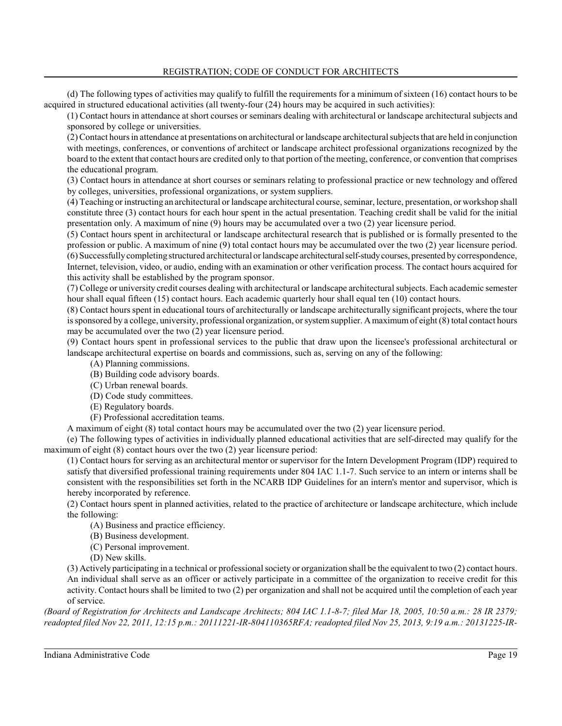(d) The following types of activities may qualify to fulfill the requirements for a minimum of sixteen (16) contact hours to be acquired in structured educational activities (all twenty-four (24) hours may be acquired in such activities):

(1) Contact hours in attendance at short courses or seminars dealing with architectural or landscape architectural subjects and sponsored by college or universities.

(2) Contact hours in attendance at presentations on architectural or landscape architectural subjects that are held in conjunction with meetings, conferences, or conventions of architect or landscape architect professional organizations recognized by the board to the extent that contact hours are credited only to that portion of the meeting, conference, or convention that comprises the educational program.

(3) Contact hours in attendance at short courses or seminars relating to professional practice or new technology and offered by colleges, universities, professional organizations, or system suppliers.

(4) Teaching or instructing an architectural or landscape architectural course, seminar, lecture, presentation, or workshop shall constitute three (3) contact hours for each hour spent in the actual presentation. Teaching credit shall be valid for the initial presentation only. A maximum of nine (9) hours may be accumulated over a two (2) year licensure period.

(5) Contact hours spent in architectural or landscape architectural research that is published or is formally presented to the profession or public. A maximum of nine (9) total contact hours may be accumulated over the two (2) year licensure period. (6) Successfullycompleting structured architectural orlandscape architecturalself-studycourses, presented by correspondence, Internet, television, video, or audio, ending with an examination or other verification process. The contact hours acquired for this activity shall be established by the program sponsor.

(7) College or university credit courses dealing with architectural or landscape architectural subjects. Each academic semester hour shall equal fifteen (15) contact hours. Each academic quarterly hour shall equal ten (10) contact hours.

(8) Contact hours spent in educational tours of architecturally or landscape architecturally significant projects, where the tour is sponsored by a college, university, professional organization, or system supplier. A maximum of eight (8) total contact hours may be accumulated over the two (2) year licensure period.

(9) Contact hours spent in professional services to the public that draw upon the licensee's professional architectural or landscape architectural expertise on boards and commissions, such as, serving on any of the following:

- (A) Planning commissions.
- (B) Building code advisory boards.
- (C) Urban renewal boards.
- (D) Code study committees.
- (E) Regulatory boards.
- (F) Professional accreditation teams.

A maximum of eight (8) total contact hours may be accumulated over the two (2) year licensure period.

(e) The following types of activities in individually planned educational activities that are self-directed may qualify for the maximum of eight (8) contact hours over the two (2) year licensure period:

(1) Contact hours for serving as an architectural mentor or supervisor for the Intern Development Program (IDP) required to satisfy that diversified professional training requirements under 804 IAC 1.1-7. Such service to an intern or interns shall be consistent with the responsibilities set forth in the NCARB IDP Guidelines for an intern's mentor and supervisor, which is hereby incorporated by reference.

(2) Contact hours spent in planned activities, related to the practice of architecture or landscape architecture, which include the following:

(A) Business and practice efficiency.

- (B) Business development.
- (C) Personal improvement.
- (D) New skills.

(3) Actively participating in a technical or professional society or organization shall be the equivalent to two (2) contact hours. An individual shall serve as an officer or actively participate in a committee of the organization to receive credit for this activity. Contact hours shall be limited to two (2) per organization and shall not be acquired until the completion of each year of service.

*(Board of Registration for Architects and Landscape Architects; 804 IAC 1.1-8-7; filed Mar 18, 2005, 10:50 a.m.: 28 IR 2379; readopted filed Nov 22, 2011, 12:15 p.m.: 20111221-IR-804110365RFA; readopted filed Nov 25, 2013, 9:19 a.m.: 20131225-IR-*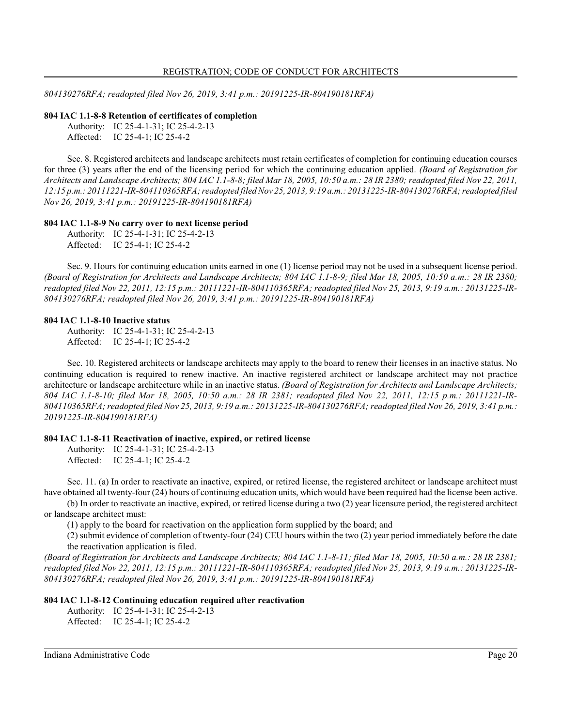*804130276RFA; readopted filed Nov 26, 2019, 3:41 p.m.: 20191225-IR-804190181RFA)*

#### **804 IAC 1.1-8-8 Retention of certificates of completion**

Authority: IC 25-4-1-31; IC 25-4-2-13 Affected: IC 25-4-1; IC 25-4-2

Sec. 8. Registered architects and landscape architects must retain certificates of completion for continuing education courses for three (3) years after the end of the licensing period for which the continuing education applied. *(Board of Registration for Architects and Landscape Architects; 804 IAC 1.1-8-8; filed Mar 18, 2005, 10:50 a.m.: 28 IR 2380; readopted filed Nov 22, 2011, 12:15 p.m.: 20111221-IR-804110365RFA; readopted filed Nov 25, 2013, 9:19 a.m.: 20131225-IR-804130276RFA; readopted filed Nov 26, 2019, 3:41 p.m.: 20191225-IR-804190181RFA)*

#### **804 IAC 1.1-8-9 No carry over to next license period**

Authority: IC 25-4-1-31; IC 25-4-2-13 Affected: IC 25-4-1; IC 25-4-2

Sec. 9. Hours for continuing education units earned in one (1) license period may not be used in a subsequent license period. *(Board of Registration for Architects and Landscape Architects; 804 IAC 1.1-8-9; filed Mar 18, 2005, 10:50 a.m.: 28 IR 2380; readopted filed Nov 22, 2011, 12:15 p.m.: 20111221-IR-804110365RFA; readopted filed Nov 25, 2013, 9:19 a.m.: 20131225-IR-804130276RFA; readopted filed Nov 26, 2019, 3:41 p.m.: 20191225-IR-804190181RFA)*

#### **804 IAC 1.1-8-10 Inactive status**

Authority: IC 25-4-1-31; IC 25-4-2-13 Affected: IC 25-4-1; IC 25-4-2

Sec. 10. Registered architects or landscape architects may apply to the board to renew their licenses in an inactive status. No continuing education is required to renew inactive. An inactive registered architect or landscape architect may not practice architecture or landscape architecture while in an inactive status. *(Board of Registration for Architects and Landscape Architects; 804 IAC 1.1-8-10; filed Mar 18, 2005, 10:50 a.m.: 28 IR 2381; readopted filed Nov 22, 2011, 12:15 p.m.: 20111221-IR-804110365RFA; readopted filed Nov 25, 2013, 9:19 a.m.: 20131225-IR-804130276RFA; readopted filed Nov 26, 2019, 3:41 p.m.: 20191225-IR-804190181RFA)*

#### **804 IAC 1.1-8-11 Reactivation of inactive, expired, or retired license**

Authority: IC 25-4-1-31; IC 25-4-2-13 Affected: IC 25-4-1; IC 25-4-2

Sec. 11. (a) In order to reactivate an inactive, expired, or retired license, the registered architect or landscape architect must have obtained all twenty-four (24) hours of continuing education units, which would have been required had the license been active.

(b) In order to reactivate an inactive, expired, or retired license during a two (2) year licensure period, the registered architect or landscape architect must:

(1) apply to the board for reactivation on the application form supplied by the board; and

(2) submit evidence of completion of twenty-four (24) CEU hours within the two (2) year period immediately before the date the reactivation application is filed.

*(Board of Registration for Architects and Landscape Architects; 804 IAC 1.1-8-11; filed Mar 18, 2005, 10:50 a.m.: 28 IR 2381; readopted filed Nov 22, 2011, 12:15 p.m.: 20111221-IR-804110365RFA; readopted filed Nov 25, 2013, 9:19 a.m.: 20131225-IR-804130276RFA; readopted filed Nov 26, 2019, 3:41 p.m.: 20191225-IR-804190181RFA)*

#### **804 IAC 1.1-8-12 Continuing education required after reactivation**

Authority: IC 25-4-1-31; IC 25-4-2-13 Affected: IC 25-4-1; IC 25-4-2